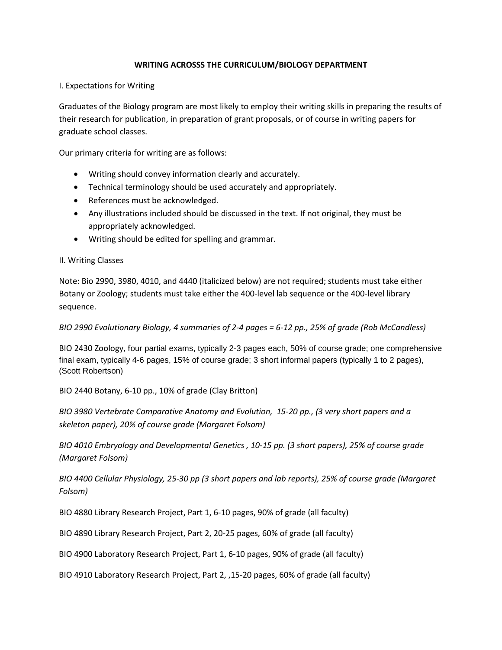### **WRITING ACROSSS THE CURRICULUM/BIOLOGY DEPARTMENT**

### I. Expectations for Writing

Graduates of the Biology program are most likely to employ their writing skills in preparing the results of their research for publication, in preparation of grant proposals, or of course in writing papers for graduate school classes.

Our primary criteria for writing are as follows:

- Writing should convey information clearly and accurately.
- Technical terminology should be used accurately and appropriately.
- References must be acknowledged.
- Any illustrations included should be discussed in the text. If not original, they must be appropriately acknowledged.
- Writing should be edited for spelling and grammar.

### II. Writing Classes

Note: Bio 2990, 3980, 4010, and 4440 (italicized below) are not required; students must take either Botany or Zoology; students must take either the 400-level lab sequence or the 400-level library sequence.

### *BIO 2990 Evolutionary Biology, 4 summaries of 2-4 pages = 6-12 pp., 25% of grade (Rob McCandless)*

BIO 2430 Zoology, four partial exams, typically 2-3 pages each, 50% of course grade; one comprehensive final exam, typically 4-6 pages, 15% of course grade; 3 short informal papers (typically 1 to 2 pages), (Scott Robertson)

BIO 2440 Botany, 6-10 pp., 10% of grade (Clay Britton)

*BIO 3980 Vertebrate Comparative Anatomy and Evolution, 15-20 pp., (3 very short papers and a skeleton paper), 20% of course grade (Margaret Folsom)*

*BIO 4010 Embryology and Developmental Genetics , 10-15 pp. (3 short papers), 25% of course grade (Margaret Folsom)*

*BIO 4400 Cellular Physiology, 25-30 pp (3 short papers and lab reports), 25% of course grade (Margaret Folsom)*

BIO 4880 Library Research Project, Part 1, 6-10 pages, 90% of grade (all faculty)

BIO 4890 Library Research Project, Part 2, 20-25 pages, 60% of grade (all faculty)

BIO 4900 Laboratory Research Project, Part 1, 6-10 pages, 90% of grade (all faculty)

BIO 4910 Laboratory Research Project, Part 2, ,15-20 pages, 60% of grade (all faculty)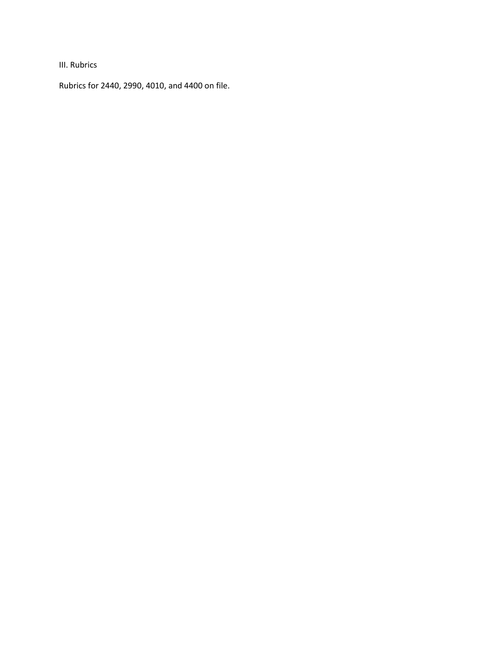III. Rubrics

Rubrics for 2440, 2990, 4010, and 4400 on file.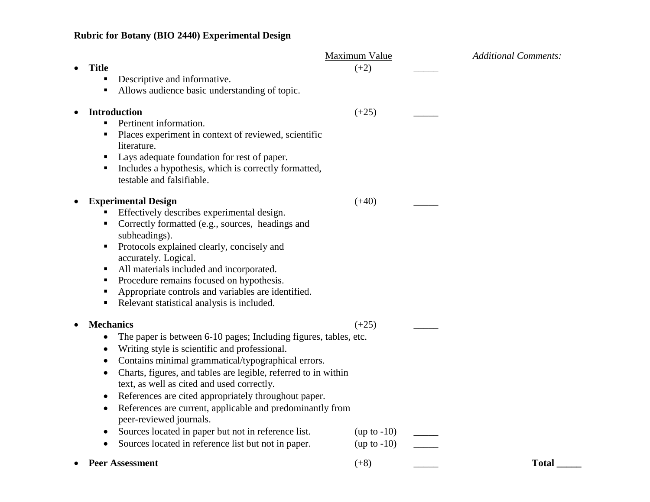# **Rubric for Botany (BIO 2440) Experimental Design**

|                                                                                                |                                                                                                                                                                                                                                                                                                                                                                                                                                                                                                                                                       | Maximum Value                             | <b>Additional Comments:</b> |
|------------------------------------------------------------------------------------------------|-------------------------------------------------------------------------------------------------------------------------------------------------------------------------------------------------------------------------------------------------------------------------------------------------------------------------------------------------------------------------------------------------------------------------------------------------------------------------------------------------------------------------------------------------------|-------------------------------------------|-----------------------------|
| <b>Title</b><br>п<br>п                                                                         | Descriptive and informative.<br>Allows audience basic understanding of topic.                                                                                                                                                                                                                                                                                                                                                                                                                                                                         | $(+2)$                                    |                             |
| <b>Introduction</b><br>$\bullet$<br>п<br>п,<br>ш                                               | Pertinent information.<br>Places experiment in context of reviewed, scientific<br>literature.<br>Lays adequate foundation for rest of paper.<br>Includes a hypothesis, which is correctly formatted,<br>testable and falsifiable.                                                                                                                                                                                                                                                                                                                     | $(+25)$                                   |                             |
| $\bullet$<br>п<br>п.<br>п<br>٠<br>п<br>٠                                                       | <b>Experimental Design</b><br>Effectively describes experimental design.<br>Correctly formatted (e.g., sources, headings and<br>subheadings).<br>Protocols explained clearly, concisely and<br>accurately. Logical.<br>All materials included and incorporated.<br>Procedure remains focused on hypothesis.<br>Appropriate controls and variables are identified.<br>Relevant statistical analysis is included.                                                                                                                                       | $(+40)$                                   |                             |
| <b>Mechanics</b><br>$\bullet$<br>$\bullet$<br>$\bullet$<br>$\bullet$<br>$\bullet$<br>$\bullet$ | The paper is between 6-10 pages; Including figures, tables, etc.<br>Writing style is scientific and professional.<br>Contains minimal grammatical/typographical errors.<br>Charts, figures, and tables are legible, referred to in within<br>text, as well as cited and used correctly.<br>References are cited appropriately throughout paper.<br>References are current, applicable and predominantly from<br>peer-reviewed journals.<br>Sources located in paper but not in reference list.<br>Sources located in reference list but not in paper. | $(+25)$<br>$(up to -10)$<br>$(up to -10)$ |                             |
|                                                                                                | <b>Peer Assessment</b>                                                                                                                                                                                                                                                                                                                                                                                                                                                                                                                                | $(+8)$                                    | <b>Total</b>                |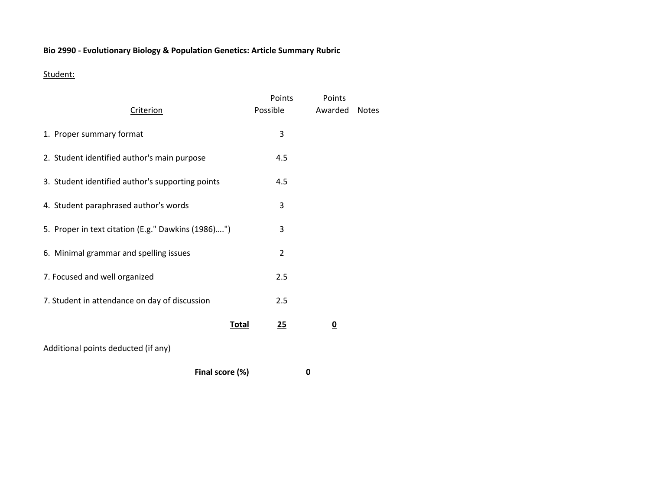## **Bio 2990 - Evolutionary Biology & Population Genetics: Article Summary Rubric**

## Student:

|                                                    | Points             | Points                  |              |
|----------------------------------------------------|--------------------|-------------------------|--------------|
| Criterion                                          | Possible           | Awarded                 | <b>Notes</b> |
| 1. Proper summary format                           | 3                  |                         |              |
| 2. Student identified author's main purpose        | 4.5                |                         |              |
| 3. Student identified author's supporting points   | 4.5                |                         |              |
| 4. Student paraphrased author's words              | 3                  |                         |              |
| 5. Proper in text citation (E.g." Dawkins (1986)") | 3                  |                         |              |
| 6. Minimal grammar and spelling issues             | $\overline{2}$     |                         |              |
| 7. Focused and well organized                      | 2.5                |                         |              |
| 7. Student in attendance on day of discussion      | 2.5                |                         |              |
|                                                    | <u>Total</u><br>25 | $\overline{\mathbf{0}}$ |              |
| Additional points deducted (if any)                |                    |                         |              |
|                                                    |                    |                         |              |

**Final score (%) 0**